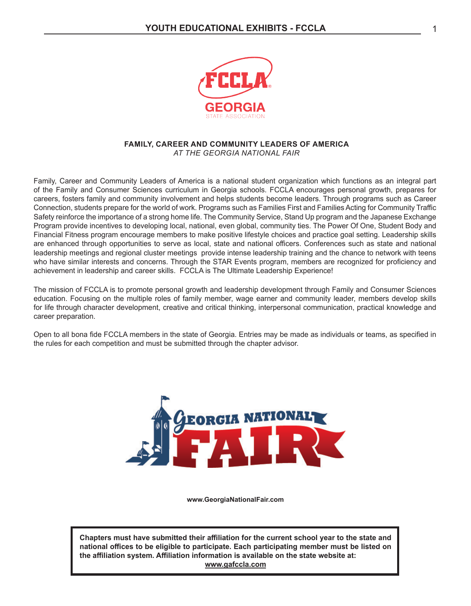

#### **FAMILY, CAREER AND COMMUNITY LEADERS OF AMERICA** *AT THE GEORGIA NATIONAL FAIR*

Family, Career and Community Leaders of America is a national student organization which functions as an integral part of the Family and Consumer Sciences curriculum in Georgia schools. FCCLA encourages personal growth, prepares for careers, fosters family and community involvement and helps students become leaders. Through programs such as Career Connection, students prepare for the world of work. Programs such as Families First and Families Acting for Community Traffic Safety reinforce the importance of a strong home life. The Community Service, Stand Up program and the Japanese Exchange Program provide incentives to developing local, national, even global, community ties. The Power Of One, Student Body and Financial Fitness program encourage members to make positive lifestyle choices and practice goal setting. Leadership skills are enhanced through opportunities to serve as local, state and national officers. Conferences such as state and national leadership meetings and regional cluster meetings provide intense leadership training and the chance to network with teens who have similar interests and concerns. Through the STAR Events program, members are recognized for proficiency and achievement in leadership and career skills. FCCLA is The Ultimate Leadership Experience!

The mission of FCCLA is to promote personal growth and leadership development through Family and Consumer Sciences education. Focusing on the multiple roles of family member, wage earner and community leader, members develop skills for life through character development, creative and critical thinking, interpersonal communication, practical knowledge and career preparation.

Open to all bona fide FCCLA members in the state of Georgia. Entries may be made as individuals or teams, as specified in the rules for each competition and must be submitted through the chapter advisor.



**www.GeorgiaNationalFair.com**

**Chapters must have submitted their affiliation for the current school year to the state and national offices to be eligible to participate. Each participating member must be listed on the affiliation system. Affiliation information is available on the state website at: www.gafccla.com**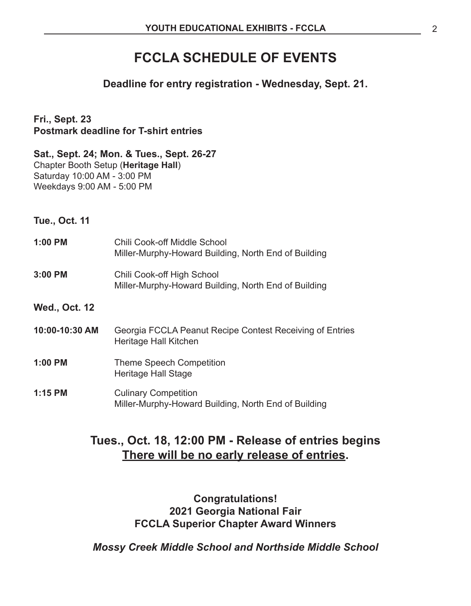# **FCCLA SCHEDULE OF EVENTS**

# **Deadline for entry registration - Wednesday, Sept. 21.**

**Fri., Sept. 23 Postmark deadline for T-shirt entries**

# **Sat., Sept. 24; Mon. & Tues., Sept. 26-27** Chapter Booth Setup (**Heritage Hall**) Saturday 10:00 AM - 3:00 PM

Weekdays 9:00 AM - 5:00 PM

**Tue., Oct. 11**

| $1:00$ PM            | <b>Chili Cook-off Middle School</b><br>Miller-Murphy-Howard Building, North End of Building |
|----------------------|---------------------------------------------------------------------------------------------|
| 3:00 PM              | Chili Cook-off High School<br>Miller-Murphy-Howard Building, North End of Building          |
| <b>Wed., Oct. 12</b> |                                                                                             |
| 10:00-10:30 AM       | Georgia FCCLA Peanut Recipe Contest Receiving of Entries<br>Heritage Hall Kitchen           |
| 1:00 PM              | <b>Theme Speech Competition</b><br>Heritage Hall Stage                                      |
| 1:15 PM              | <b>Culinary Competition</b><br>Miller-Murphy-Howard Building, North End of Building         |

# **Tues., Oct. 18, 12:00 PM - Release of entries begins There will be no early release of entries.**

# **Congratulations! 2021 Georgia National Fair FCCLA Superior Chapter Award Winners**

*Mossy Creek Middle School and Northside Middle School*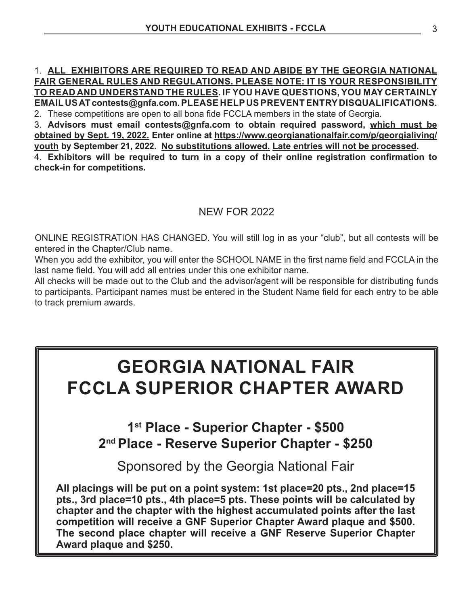# 1. **ALL EXHIBITORS ARE REQUIRED TO READ AND ABIDE BY THE GEORGIA NATIONAL FAIR GENERAL RULES AND REGULATIONS. PLEASE NOTE: IT IS YOUR RESPONSIBILITY TO READ AND UNDERSTAND THE RULES. IF YOU HAVE QUESTIONS, YOU MAY CERTAINLY EMAIL US AT contests@gnfa.com. PLEASE HELP US PREVENT ENTRY DISQUALIFICATIONS.** 2. These competitions are open to all bona fide FCCLA members in the state of Georgia.

3. **Advisors must email contests@gnfa.com to obtain required password, which must be obtained by Sept. 19, 2022. Enter online at https://www.georgianationalfair.com/p/georgialiving/ youth by September 21, 2022. No substitutions allowed. Late entries will not be processed.** 

4. **Exhibitors will be required to turn in a copy of their online registration confirmation to check-in for competitions.**

# NEW FOR 2022

ONLINE REGISTRATION HAS CHANGED. You will still log in as your "club", but all contests will be entered in the Chapter/Club name.

When you add the exhibitor, you will enter the SCHOOL NAME in the first name field and FCCLA in the last name field. You will add all entries under this one exhibitor name.

All checks will be made out to the Club and the advisor/agent will be responsible for distributing funds to participants. Participant names must be entered in the Student Name field for each entry to be able to track premium awards.

# **GEORGIA NATIONAL FAIR FCCLA SUPERIOR CHAPTER AWARD**

**1st Place - Superior Chapter - \$500 2nd Place - Reserve Superior Chapter - \$250**

Sponsored by the Georgia National Fair **All placings will be put on a point system: 1st place=20 pts., 2nd place=15 pts., 3rd place=10 pts., 4th place=5 pts. These points will be calculated by chapter and the chapter with the highest accumulated points after the last competition will receive a GNF Superior Chapter Award plaque and \$500. The second place chapter will receive a GNF Reserve Superior Chapter Award plaque and \$250.**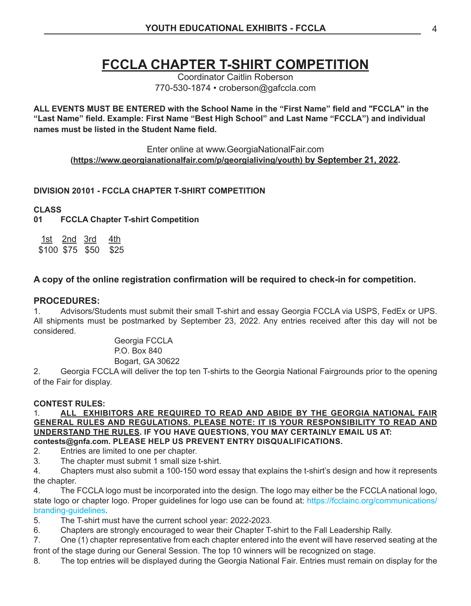# **FCCLA CHAPTER T-SHIRT COMPETITION**

Coordinator Caitlin Roberson 770-530-1874 • croberson@gafccla.com

**ALL EVENTS MUST BE ENTERED with the School Name in the "First Name" field and "FCCLA" in the "Last Name" field. Example: First Name "Best High School" and Last Name "FCCLA") and individual names must be listed in the Student Name field.**

Enter online at www.GeorgiaNationalFair.com **(https://www.georgianationalfair.com/p/georgialiving/youth) by September 21, 2022.** 

# **DIVISION 20101 - FCCLA CHAPTER T-SHIRT COMPETITION**

## **CLASS**

**01 FCCLA Chapter T-shirt Competition**

1st 2nd 3rd 4th \$100 \$75 \$50 \$25

# **A copy of the online registration confirmation will be required to check-in for competition.**

### **PROCEDURES:**

1. Advisors/Students must submit their small T-shirt and essay Georgia FCCLA via USPS, FedEx or UPS. All shipments must be postmarked by September 23, 2022. Any entries received after this day will not be considered.

> Georgia FCCLA P.O. Box 840 Bogart, GA 30622

2. Georgia FCCLA will deliver the top ten T-shirts to the Georgia National Fairgrounds prior to the opening of the Fair for display.

### **CONTEST RULES:**

1. **ALL EXHIBITORS ARE REQUIRED TO READ AND ABIDE BY THE GEORGIA NATIONAL FAIR GENERAL RULES AND REGULATIONS. PLEASE NOTE: IT IS YOUR RESPONSIBILITY TO READ AND UNDERSTAND THE RULES. IF YOU HAVE QUESTIONS, YOU MAY CERTAINLY EMAIL US AT: contests@gnfa.com. PLEASE HELP US PREVENT ENTRY DISQUALIFICATIONS.**

2. Entries are limited to one per chapter.

3. The chapter must submit 1 small size t-shirt.

4. Chapters must also submit a 100-150 word essay that explains the t-shirt's design and how it represents the chapter.

4. The FCCLA logo must be incorporated into the design. The logo may either be the FCCLA national logo, state logo or chapter logo. Proper guidelines for logo use can be found at: https://fcclainc.org/communications/ branding-guidelines.

5. The T-shirt must have the current school year: 2022-2023.

6. Chapters are strongly encouraged to wear their Chapter T-shirt to the Fall Leadership Rally.

7. One (1) chapter representative from each chapter entered into the event will have reserved seating at the front of the stage during our General Session. The top 10 winners will be recognized on stage.

8. The top entries will be displayed during the Georgia National Fair. Entries must remain on display for the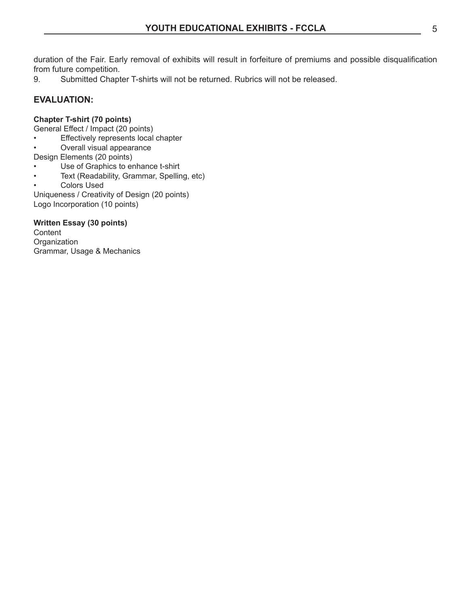duration of the Fair. Early removal of exhibits will result in forfeiture of premiums and possible disqualification from future competition.

9. Submitted Chapter T-shirts will not be returned. Rubrics will not be released.

# **EVALUATION:**

## **Chapter T-shirt (70 points)**

General Effect / Impact (20 points)

- Effectively represents local chapter
- Overall visual appearance

Design Elements (20 points)

- Use of Graphics to enhance t-shirt
- Text (Readability, Grammar, Spelling, etc)
- Colors Used

Uniqueness / Creativity of Design (20 points) Logo Incorporation (10 points)

## **Written Essay (30 points)**

**Content Organization** Grammar, Usage & Mechanics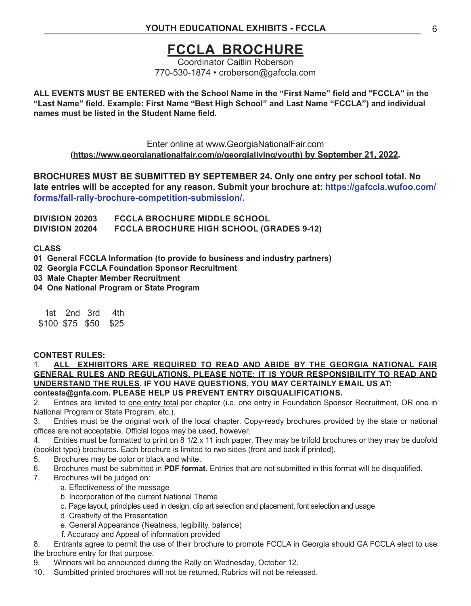# **FCCLA BROCHURE**

Coordinator Caitlin Roberson 770-530-1874 • croberson@gafccla.com

**ALL EVENTS MUST BE ENTERED with the School Name in the "First Name" field and "FCCLA" in the "Last Name" field. Example: First Name "Best High School" and Last Name "FCCLA") and individual names must be listed in the Student Name field.**

Enter online at www.GeorgiaNationalFair.com **(https://www.georgianationalfair.com/p/georgialiving/youth) by September 21, 2022.** 

**BROCHURES MUST BE SUBMITTED BY SEPTEMBER 24. Only one entry per school total. No late entries will be accepted for any reason. Submit your brochure at: https://gafccla.wufoo.com/ forms/fall-rally-brochure-competition-submission/.**

**DIVISION 20203 FCCLA BROCHURE MIDDLE SCHOOL DIVISION 20204 FCCLA BROCHURE HIGH SCHOOL (GRADES 9-12)** 

**CLASS** 

- **01 General FCCLA Information (to provide to business and industry partners)**
- **02 Georgia FCCLA Foundation Sponsor Recruitment**
- **03 Male Chapter Member Recruitment**
- **04 One National Program or State Program**

| 1st.            | 2nd 3rd | 4th  |
|-----------------|---------|------|
| \$100 \$75 \$50 |         | \$25 |

### **CONTEST RULES:**

1. **ALL EXHIBITORS ARE REQUIRED TO READ AND ABIDE BY THE GEORGIA NATIONAL FAIR GENERAL RULES AND REGULATIONS. PLEASE NOTE: IT IS YOUR RESPONSIBILITY TO READ AND UNDERSTAND THE RULES. IF YOU HAVE QUESTIONS, YOU MAY CERTAINLY EMAIL US AT: contests@gnfa.com. PLEASE HELP US PREVENT ENTRY DISQUALIFICATIONS.**

2. Entries are limited to one entry total per chapter (i.e. one entry in Foundation Sponsor Recruitment, OR one in National Program or State Program, etc.).

3. Entries must be the original work of the local chapter. Copy-ready brochures provided by the state or national offices are not acceptable. Official logos may be used, however.

4. Entries must be formatted to print on 8 1/2 x 11 inch paper. They may be trifold brochures or they may be duofold (booklet type) brochures. Each brochure is limited to rwo sides (front and back if printed).

- 5. Brochures may be color or black and white.
- 6. Brochures must be submitted in **PDF format**. Entries that are not submitted in this format will be disqualified.
- 7. Brochures will be judged on:
	- a. Effectiveness of the message
	- b. Incorporation of the current National Theme
	- c. Page layout, principles used in design, clip art selection and placement, font selection and usage
	- d. Creativity of the Presentation
	- e. General Appearance (Neatness, legibility, balance)
	- f. Accuracy and Appeal of information provided

8. Entrants agree to permit the use of their brochure to promote FCCLA in Georgia should GA FCCLA elect to use the brochure entry for that purpose.

- 9. Winners will be announced during the Rally on Wednesday, October 12.
- 10. Sumbitted printed brochures will not be returned. Rubrics will not be released.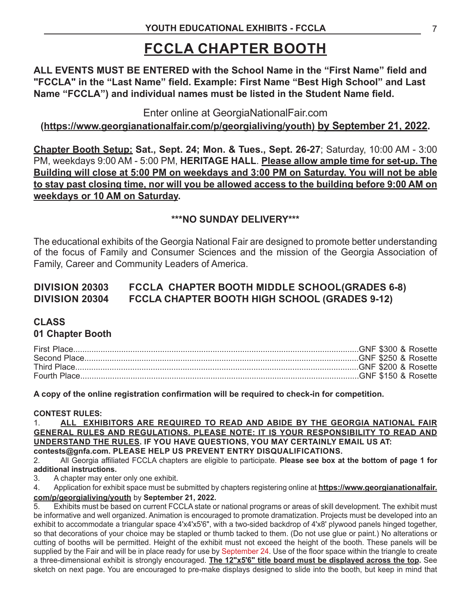# **FCCLA CHAPTER BOOTH**

**ALL EVENTS MUST BE ENTERED with the School Name in the "First Name" field and "FCCLA" in the "Last Name" field. Example: First Name "Best High School" and Last Name "FCCLA") and individual names must be listed in the Student Name field.**

Enter online at GeorgiaNationalFair.com

# **(https://www.georgianationalfair.com/p/georgialiving/youth) by September 21, 2022.**

**Chapter Booth Setup: Sat., Sept. 24; Mon. & Tues., Sept. 26-27**; Saturday, 10:00 AM - 3:00 PM, weekdays 9:00 AM - 5:00 PM, **HERITAGE HALL**. **Please allow ample time for set-up. The Building will close at 5:00 PM on weekdays and 3:00 PM on Saturday. You will not be able to stay past closing time, nor will you be allowed access to the building before 9:00 AM on weekdays or 10 AM on Saturday.**

# **\*\*\*NO SUNDAY DELIVERY\*\*\***

The educational exhibits of the Georgia National Fair are designed to promote better understanding of the focus of Family and Consumer Sciences and the mission of the Georgia Association of Family, Career and Community Leaders of America.

# **DIVISION 20303 FCCLA CHAPTER BOOTH MIDDLE SCHOOL(GRADES 6-8) DIVISION 20304 FCCLA CHAPTER BOOTH HIGH SCHOOL (GRADES 9-12)**

# **CLASS**

# **01 Chapter Booth**

**A copy of the online registration confirmation will be required to check-in for competition.** 

## **CONTEST RULES:**

1. **ALL EXHIBITORS ARE REQUIRED TO READ AND ABIDE BY THE GEORGIA NATIONAL FAIR GENERAL RULES AND REGULATIONS. PLEASE NOTE: IT IS YOUR RESPONSIBILITY TO READ AND UNDERSTAND THE RULES. IF YOU HAVE QUESTIONS, YOU MAY CERTAINLY EMAIL US AT: contests@gnfa.com. PLEASE HELP US PREVENT ENTRY DISQUALIFICATIONS.**

2. All Georgia affiliated FCCLA chapters are eligible to participate. **Please see box at the bottom of page 1 for additional instructions.**

3. A chapter may enter only one exhibit.

4. Application for exhibit space must be submitted by chapters registering online at **https://www.georgianationalfair. com/p/georgialiving/youth** by **September 21, 2022.**

5. Exhibits must be based on current FCCLA state or national programs or areas of skill development. The exhibit must be informative and well organized. Animation is encouraged to promote dramatization. Projects must be developed into an exhibit to accommodate a triangular space 4'x4'x5'6", with a two-sided backdrop of 4'x8' plywood panels hinged together, so that decorations of your choice may be stapled or thumb tacked to them. (Do not use glue or paint.) No alterations or cutting of booths will be permitted. Height of the exhibit must not exceed the height of the booth. These panels will be supplied by the Fair and will be in place ready for use by September 24. Use of the floor space within the triangle to create a three-dimensional exhibit is strongly encouraged. **The 12"x5'6" title board must be displayed across the top.** See sketch on next page. You are encouraged to pre-make displays designed to slide into the booth, but keep in mind that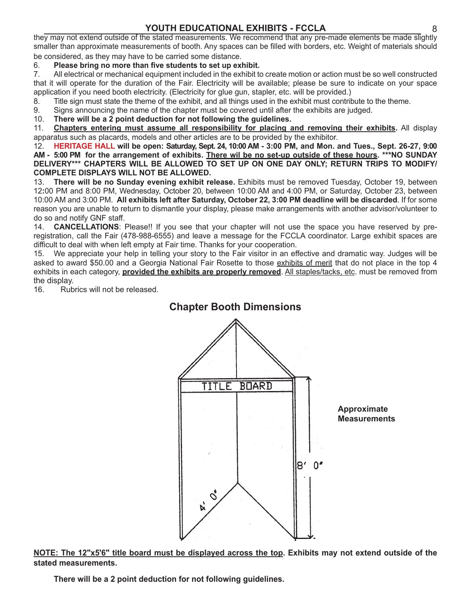# **YOUTH EDUCATIONAL EXHIBITS - FCCLA** 8

they may not extend outside of the stated measurements. We recommend that any pre-made elements be made slightly smaller than approximate measurements of booth. Any spaces can be filled with borders, etc. Weight of materials should be considered, as they may have to be carried some distance.

## 6. **Please bring no more than five students to set up exhibit.**

7. All electrical or mechanical equipment included in the exhibit to create motion or action must be so well constructed that it will operate for the duration of the Fair. Electricity will be available; please be sure to indicate on your space application if you need booth electricity. (Electricity for glue gun, stapler, etc. will be provided.)

- 8. Title sign must state the theme of the exhibit, and all things used in the exhibit must contribute to the theme.
- 9. Signs announcing the name of the chapter must be covered until after the exhibits are judged.
- 10. **There will be a 2 point deduction for not following the guidelines.**

11. **Chapters entering must assume all responsibility for placing and removing their exhibits.** All display apparatus such as placards, models and other articles are to be provided by the exhibitor.

12. **HERITAGE HALL will be open: Saturday, Sept. 24, 10:00 AM - 3:00 PM, and Mon. and Tues., Sept. 26-27, 9:00 AM - 5:00 PM for the arrangement of exhibits. There wil be no set-up outside of these hours. \*\*\*NO SUNDAY DELIVERY\*\*\* CHAPTERS WILL BE ALLOWED TO SET UP ON ONE DAY ONLY; RETURN TRIPS TO MODIFY/ COMPLETE DISPLAYS WILL NOT BE ALLOWED.**

13. **There will be no Sunday evening exhibit release.** Exhibits must be removed Tuesday, October 19, between 12**:**00 PM and 8:00 PM, Wednesday, October 20, between 10:00 AM and 4:00 PM, or Saturday, October 23, between 10:00 AM and 3:00 PM. **All exhibits left after Saturday, October 22, 3:00 PM deadline will be discarded**. If for some reason you are unable to return to dismantle your display, please make arrangements with another advisor/volunteer to do so and notify GNF staff.

14. **CANCELLATIONS**: Please!! If you see that your chapter will not use the space you have reserved by preregistration, call the Fair (478-988-6555) and leave a message for the FCCLA coordinator. Large exhibit spaces are difficult to deal with when left empty at Fair time. Thanks for your cooperation.

15. We appreciate your help in telling your story to the Fair visitor in an effective and dramatic way. Judges will be asked to award \$50.00 and a Georgia National Fair Rosette to those exhibits of merit that do not place in the top 4 exhibits in each category, **provided the exhibits are properly removed**. All staples/tacks, etc. must be removed from the display.

16. Rubrics will not be released.



## **NOTE: The 12"x5'6" title board must be displayed across the top. Exhibits may not extend outside of the stated measurements.**

**There will be a 2 point deduction for not following guidelines.**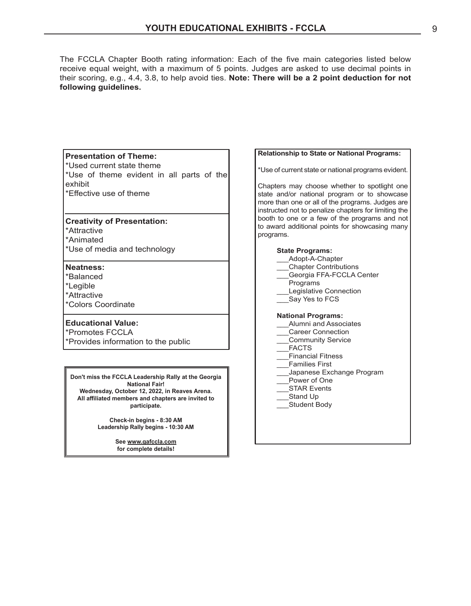The FCCLA Chapter Booth rating information: Each of the five main categories listed below receive equal weight, with a maximum of 5 points. Judges are asked to use decimal points in their scoring, e.g., 4.4, 3.8, to help avoid ties. **Note: There will be a 2 point deduction for not following guidelines.**

#### **Presentation of Theme:**

\*Used current state theme

\*Use of theme evident in all parts of the exhibit \*Effective use of theme

#### **Creativity of Presentation:**

\*Attractive

\*Animated

\*Use of media and technology

#### **Neatness:**

\*Balanced \*Legible

- \*Attractive
- \*Colors Coordinate

### **Educational Value:**

\*Promotes FCCLA \*Provides information to the public

**Don't miss the FCCLA Leadership Rally at the Georgia National Fair! Wednesday, October 12, 2022, in Reaves Arena. All affiliated members and chapters are invited to participate.**

> **Check-in begins - 8:30 AM Leadership Rally begins - 10:30 AM**

> > **See www.gafccla.com for complete details!**

#### **Relationship to State or National Programs:**

\*Use of current state or national programs evident.

Chapters may choose whether to spotlight one state and/or national program or to showcase more than one or all of the programs. Judges are instructed not to penalize chapters for limiting the booth to one or a few of the programs and not to award additional points for showcasing many programs.

#### **State Programs:**

| Adopt-A-Chapter                                |  |
|------------------------------------------------|--|
| <b>Chapter Contributions</b>                   |  |
| Georgia FFA-FCCLA Center                       |  |
| Programs                                       |  |
| المتحاشم والمتمادين والمتحا والمالمات والمناسب |  |

- Legislative Connection
- Say Yes to FCS

#### **National Programs:**

- Alumni and Associates
- \_\_\_Career Connection
- \_\_\_Community Service
- \_\_\_FACTS
- \_\_\_Financial Fitness
- \_\_\_Families First
- \_\_\_Japanese Exchange Program
- Power of One
- STAR Events
- Stand Up
	- \_\_\_Student Body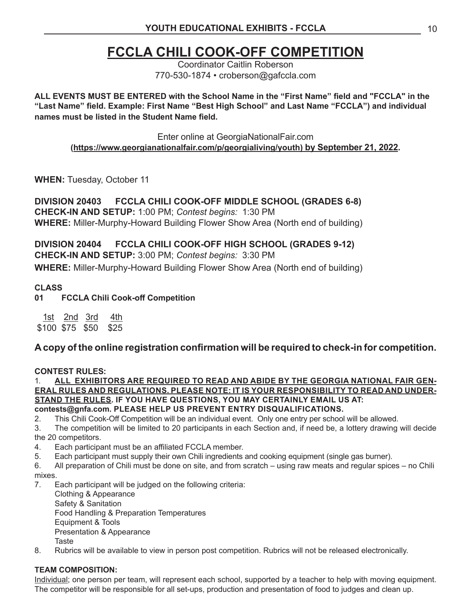# **FCCLA CHILI COOK-OFF COMPETITION**

Coordinator Caitlin Roberson 770-530-1874 • croberson@gafccla.com

**ALL EVENTS MUST BE ENTERED with the School Name in the "First Name" field and "FCCLA" in the "Last Name" field. Example: First Name "Best High School" and Last Name "FCCLA") and individual names must be listed in the Student Name field.**

Enter online at GeorgiaNationalFair.com

**(https://www.georgianationalfair.com/p/georgialiving/youth) by September 21, 2022.** 

**WHEN:** Tuesday, October 11

**DIVISION 20403 FCCLA CHILI COOK-OFF MIDDLE SCHOOL (GRADES 6-8) CHECK-IN AND SETUP:** 1:00 PM; *Contest begins:* 1:30 PM **WHERE:** Miller-Murphy-Howard Building Flower Show Area (North end of building)

**DIVISION 20404 FCCLA CHILI COOK-OFF HIGH SCHOOL (GRADES 9-12) CHECK-IN AND SETUP:** 3:00 PM; *Contest begins:* 3:30 PM **WHERE:** Miller-Murphy-Howard Building Flower Show Area (North end of building)

# **CLASS**

**01 FCCLA Chili Cook-off Competition**

<u>1st 2nd 3rd 4th</u> \$100 \$75 \$50 \$25

# **A copy of the online registration confirmation will be required to check-in for competition.**

# **CONTEST RULES:**

1. **ALL EXHIBITORS ARE REQUIRED TO READ AND ABIDE BY THE GEORGIA NATIONAL FAIR GEN-ERAL RULES AND REGULATIONS. PLEASE NOTE: IT IS YOUR RESPONSIBILITY TO READ AND UNDER-STAND THE RULES. IF YOU HAVE QUESTIONS, YOU MAY CERTAINLY EMAIL US AT: contests@gnfa.com. PLEASE HELP US PREVENT ENTRY DISQUALIFICATIONS.**

2. This Chili Cook-Off Competition will be an individual event. Only one entry per school will be allowed.

3. The competition will be limited to 20 participants in each Section and, if need be, a lottery drawing will decide the 20 competitors.

- 4. Each participant must be an affiliated FCCLA member.
- 5. Each participant must supply their own Chili ingredients and cooking equipment (single gas burner).
- 6. All preparation of Chili must be done on site, and from scratch using raw meats and regular spices no Chili mixes.
- 7. Each participant will be judged on the following criteria:

Clothing & Appearance Safety & Sanitation Food Handling & Preparation Temperatures Equipment & Tools Presentation & Appearance Taste

8. Rubrics will be available to view in person post competition. Rubrics will not be released electronically.

# **TEAM COMPOSITION:**

Individual; one person per team, will represent each school, supported by a teacher to help with moving equipment. The competitor will be responsible for all set-ups, production and presentation of food to judges and clean up.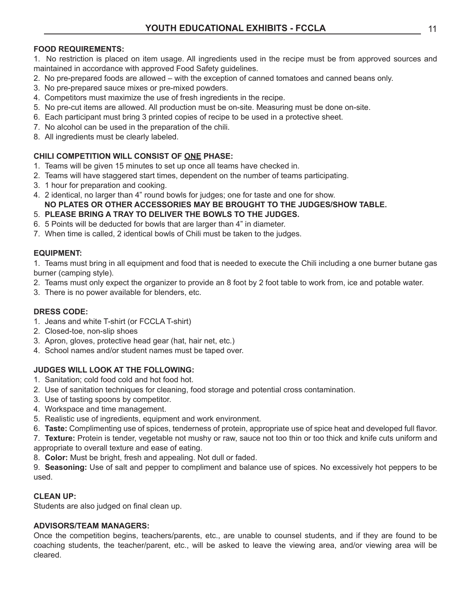## **FOOD REQUIREMENTS:**

1. No restriction is placed on item usage. All ingredients used in the recipe must be from approved sources and maintained in accordance with approved Food Safety guidelines.

- 2. No pre-prepared foods are allowed with the exception of canned tomatoes and canned beans only.
- 3. No pre-prepared sauce mixes or pre-mixed powders.
- 4. Competitors must maximize the use of fresh ingredients in the recipe.
- 5. No pre-cut items are allowed. All production must be on-site. Measuring must be done on-site.
- 6. Each participant must bring 3 printed copies of recipe to be used in a protective sheet.
- 7. No alcohol can be used in the preparation of the chili.
- 8. All ingredients must be clearly labeled.

### **CHILI COMPETITION WILL CONSIST OF ONE PHASE:**

- 1. Teams will be given 15 minutes to set up once all teams have checked in.
- 2. Teams will have staggered start times, dependent on the number of teams participating.
- 3. 1 hour for preparation and cooking.
- 4. 2 identical, no larger than 4" round bowls for judges; one for taste and one for show.

# **NO PLATES OR OTHER ACCESSORIES MAY BE BROUGHT TO THE JUDGES/SHOW TABLE.**

- 5. **PLEASE BRING A TRAY TO DELIVER THE BOWLS TO THE JUDGES.**
- 6. 5 Points will be deducted for bowls that are larger than 4" in diameter.
- 7. When time is called, 2 identical bowls of Chili must be taken to the judges.

### **EQUIPMENT:**

1. Teams must bring in all equipment and food that is needed to execute the Chili including a one burner butane gas burner (camping style).

- 2. Teams must only expect the organizer to provide an 8 foot by 2 foot table to work from, ice and potable water.
- 3. There is no power available for blenders, etc.

### **DRESS CODE:**

- 1. Jeans and white T-shirt (or FCCLA T-shirt)
- 2. Closed-toe, non-slip shoes
- 3. Apron, gloves, protective head gear (hat, hair net, etc.)
- 4. School names and/or student names must be taped over.

### **JUDGES WILL LOOK AT THE FOLLOWING:**

- 1. Sanitation; cold food cold and hot food hot.
- 2. Use of sanitation techniques for cleaning, food storage and potential cross contamination.
- 3. Use of tasting spoons by competitor.
- 4. Workspace and time management.
- 5. Realistic use of ingredients, equipment and work environment.
- 6. **Taste:** Complimenting use of spices, tenderness of protein, appropriate use of spice heat and developed full flavor.

7. **Texture:** Protein is tender, vegetable not mushy or raw, sauce not too thin or too thick and knife cuts uniform and appropriate to overall texture and ease of eating.

8. **Color:** Must be bright, fresh and appealing. Not dull or faded.

9. **Seasoning:** Use of salt and pepper to compliment and balance use of spices. No excessively hot peppers to be used.

### **CLEAN UP:**

Students are also judged on final clean up.

### **ADVISORS/TEAM MANAGERS:**

Once the competition begins, teachers/parents, etc., are unable to counsel students, and if they are found to be coaching students, the teacher/parent, etc., will be asked to leave the viewing area, and/or viewing area will be cleared.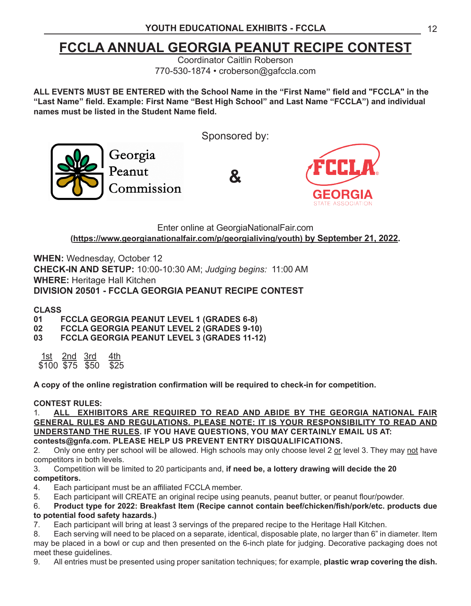# **FCCLA ANNUAL GEORGIA PEANUT RECIPE CONTEST**

Coordinator Caitlin Roberson 770-530-1874 • croberson@gafccla.com

**ALL EVENTS MUST BE ENTERED with the School Name in the "First Name" field and "FCCLA" in the "Last Name" field. Example: First Name "Best High School" and Last Name "FCCLA") and individual names must be listed in the Student Name field.**

Sponsored by: Georgia Peanut **&** Commission

Enter online at GeorgiaNationalFair.com **(https://www.georgianationalfair.com/p/georgialiving/youth) by September 21, 2022.** 

**WHEN:** Wednesday, October 12 **CHECK-IN AND SETUP:** 10:00-10:30 AM; *Judging begins:* 11:00 AM **WHERE:** Heritage Hall Kitchen **DIVISION 20501 - FCCLA GEORGIA PEANUT RECIPE CONTEST**

# **CLASS**

**01 FCCLA GEORGIA PEANUT LEVEL 1 (GRADES 6-8)**

**02 FCCLA GEORGIA PEANUT LEVEL 2 (GRADES 9-10)**

**03 FCCLA GEORGIA PEANUT LEVEL 3 (GRADES 11-12)**

<u>1st 2nd 3rd 4th</u><br>\$100.\$75.\$50.\$25  $\overline{$}100 \overline{$}75 \overline{$}50$ 

**A copy of the online registration confirmation will be required to check-in for competition.** 

## **CONTEST RULES:**

1. **ALL EXHIBITORS ARE REQUIRED TO READ AND ABIDE BY THE GEORGIA NATIONAL FAIR GENERAL RULES AND REGULATIONS. PLEASE NOTE: IT IS YOUR RESPONSIBILITY TO READ AND UNDERSTAND THE RULES. IF YOU HAVE QUESTIONS, YOU MAY CERTAINLY EMAIL US AT: contests@gnfa.com. PLEASE HELP US PREVENT ENTRY DISQUALIFICATIONS.**

2. Only one entry per school will be allowed. High schools may only choose level 2 or level 3. They may not have competitors in both levels.

3. Competition will be limited to 20 participants and, **if need be, a lottery drawing will decide the 20 competitors.**

- 4. Each participant must be an affiliated FCCLA member.
- 5. Each participant will CREATE an original recipe using peanuts, peanut butter, or peanut flour/powder.

6. **Product type for 2022: Breakfast Item (Recipe cannot contain beef/chicken/fish/pork/etc. products due to potential food safety hazards.)**

7. Each participant will bring at least 3 servings of the prepared recipe to the Heritage Hall Kitchen.

8. Each serving will need to be placed on a separate, identical, disposable plate, no larger than 6" in diameter. Item may be placed in a bowl or cup and then presented on the 6-inch plate for judging. Decorative packaging does not meet these guidelines.

9. All entries must be presented using proper sanitation techniques; for example, **plastic wrap covering the dish.**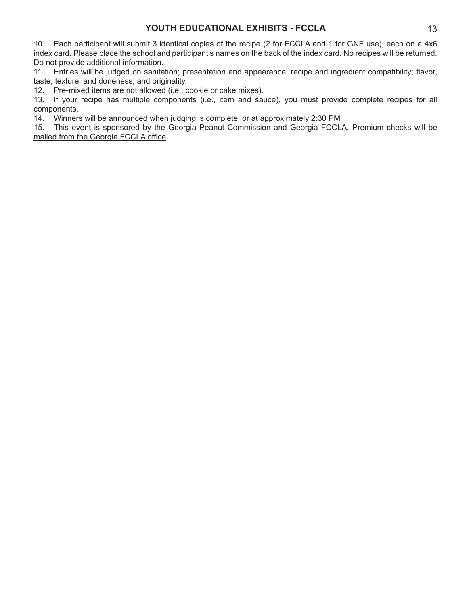10. Each participant will submit 3 identical copies of the recipe (2 for FCCLA and 1 for GNF use), each on a 4x6 index card. Please place the school and participant's names on the back of the index card. No recipes will be returned. Do not provide additional information.

11. Entries will be judged on sanitation; presentation and appearance; recipe and ingredient compatibility; flavor, taste, texture, and doneness; and originality.

12. Pre-mixed items are not allowed (i.e., cookie or cake mixes).

13. If your recipe has multiple components (i.e., item and sauce), you must provide complete recipes for all components.

14. Winners will be announced when judging is complete, or at approximately 2:30 PM

15. This event is sponsored by the Georgia Peanut Commission and Georgia FCCLA. Premium checks will be mailed from the Georgia FCCLA office.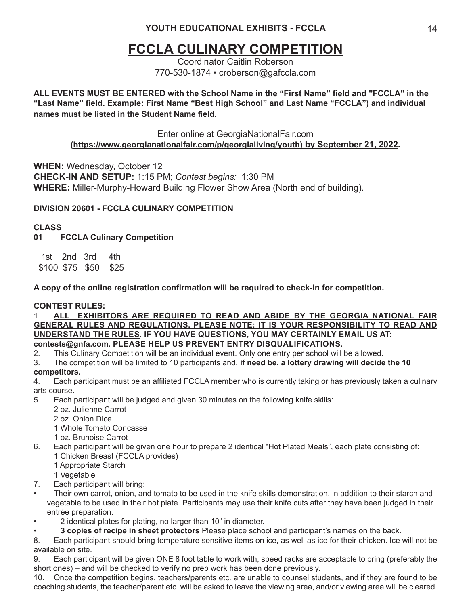# **FCCLA CULINARY COMPETITION**

Coordinator Caitlin Roberson 770-530-1874 • croberson@gafccla.com

**ALL EVENTS MUST BE ENTERED with the School Name in the "First Name" field and "FCCLA" in the "Last Name" field. Example: First Name "Best High School" and Last Name "FCCLA") and individual names must be listed in the Student Name field.**

Enter online at GeorgiaNationalFair.com

**(https://www.georgianationalfair.com/p/georgialiving/youth) by September 21, 2022.** 

**WHEN:** Wednesday, October 12 **CHECK-IN AND SETUP:** 1:15 PM; *Contest begins:* 1:30 PM **WHERE:** Miller-Murphy-Howard Building Flower Show Area (North end of building).

# **DIVISION 20601 - FCCLA CULINARY COMPETITION**

# **CLASS**

**01 FCCLA Culinary Competition**

1st 2nd 3rd 4th \$100 \$75 \$50 \$25

**A copy of the online registration confirmation will be required to check-in for competition.** 

## **CONTEST RULES:**

1. **ALL EXHIBITORS ARE REQUIRED TO READ AND ABIDE BY THE GEORGIA NATIONAL FAIR GENERAL RULES AND REGULATIONS. PLEASE NOTE: IT IS YOUR RESPONSIBILITY TO READ AND UNDERSTAND THE RULES. IF YOU HAVE QUESTIONS, YOU MAY CERTAINLY EMAIL US AT: contests@gnfa.com. PLEASE HELP US PREVENT ENTRY DISQUALIFICATIONS.**

- 2. This Culinary Competition will be an individual event. Only one entry per school will be allowed.
- 3. The competition will be limited to 10 participants and, **if need be, a lottery drawing will decide the 10 competitors.**
- 4. Each participant must be an affiliated FCCLA member who is currently taking or has previously taken a culinary arts course.
- 5. Each participant will be judged and given 30 minutes on the following knife skills:
	- 2 oz. Julienne Carrot
	- 2 oz. Onion Dice
	- 1 Whole Tomato Concasse
	- 1 oz. Brunoise Carrot
- 6. Each participant will be given one hour to prepare 2 identical "Hot Plated Meals", each plate consisting of: 1 Chicken Breast (FCCLA provides)
	- 1 Appropriate Starch
	- 1 Vegetable
- 7. Each participant will bring:
- Their own carrot, onion, and tomato to be used in the knife skills demonstration, in addition to their starch and vegetable to be used in their hot plate. Participants may use their knife cuts after they have been judged in their entrée preparation.
- 2 identical plates for plating, no larger than 10" in diameter.
- **3 copies of recipe in sheet protectors** Please place school and participant's names on the back.

8. Each participant should bring temperature sensitive items on ice, as well as ice for their chicken. Ice will not be available on site.

9. Each participant will be given ONE 8 foot table to work with, speed racks are acceptable to bring (preferably the short ones) – and will be checked to verify no prep work has been done previously.

10. Once the competition begins, teachers/parents etc. are unable to counsel students, and if they are found to be coaching students, the teacher/parent etc. will be asked to leave the viewing area, and/or viewing area will be cleared.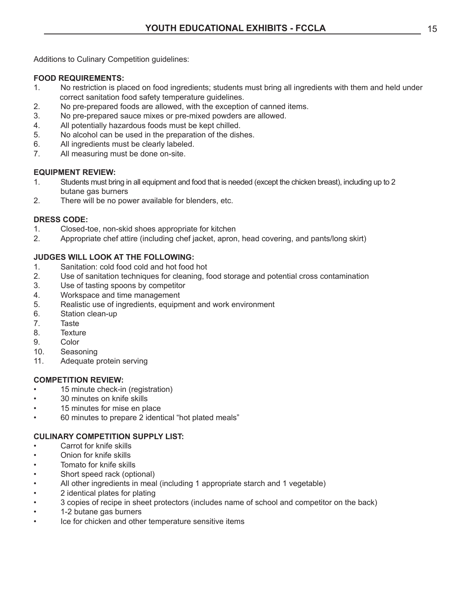Additions to Culinary Competition guidelines:

## **FOOD REQUIREMENTS:**

- 1. No restriction is placed on food ingredients; students must bring all ingredients with them and held under correct sanitation food safety temperature guidelines.
- 2. No pre-prepared foods are allowed, with the exception of canned items.<br>3. No pre-prepared sauce mixes or pre-mixed powders are allowed.
- No pre-prepared sauce mixes or pre-mixed powders are allowed.
- 4. All potentially hazardous foods must be kept chilled.
- 5. No alcohol can be used in the preparation of the dishes.
- 6. All ingredients must be clearly labeled.
- 7. All measuring must be done on-site.

## **EQUIPMENT REVIEW:**

- 1. Students must bring in all equipment and food that is needed (except the chicken breast), including up to 2 butane gas burners
- 2. There will be no power available for blenders, etc.

## **DRESS CODE:**

- 1. Closed-toe, non-skid shoes appropriate for kitchen
- 2. Appropriate chef attire (including chef jacket, apron, head covering, and pants/long skirt)

## **JUDGES WILL LOOK AT THE FOLLOWING:**

- 1. Sanitation: cold food cold and hot food hot
- 2. Use of sanitation techniques for cleaning, food storage and potential cross contamination
- 3. Use of tasting spoons by competitor
- 4. Workspace and time management
- 5. Realistic use of ingredients, equipment and work environment
- 6. Station clean-up
- 7. Taste
- 8. Texture
- 9. Color
- 10. Seasoning
- 11. Adequate protein serving

## **COMPETITION REVIEW:**

- 15 minute check-in (registration)
- 30 minutes on knife skills
- 15 minutes for mise en place
- 60 minutes to prepare 2 identical "hot plated meals"

## **CULINARY COMPETITION SUPPLY LIST:**

- Carrot for knife skills
- Onion for knife skills
- Tomato for knife skills
- Short speed rack (optional)
- All other ingredients in meal (including 1 appropriate starch and 1 vegetable)
- 2 identical plates for plating
- 3 copies of recipe in sheet protectors (includes name of school and competitor on the back)
- 1-2 butane gas burners
- Ice for chicken and other temperature sensitive items